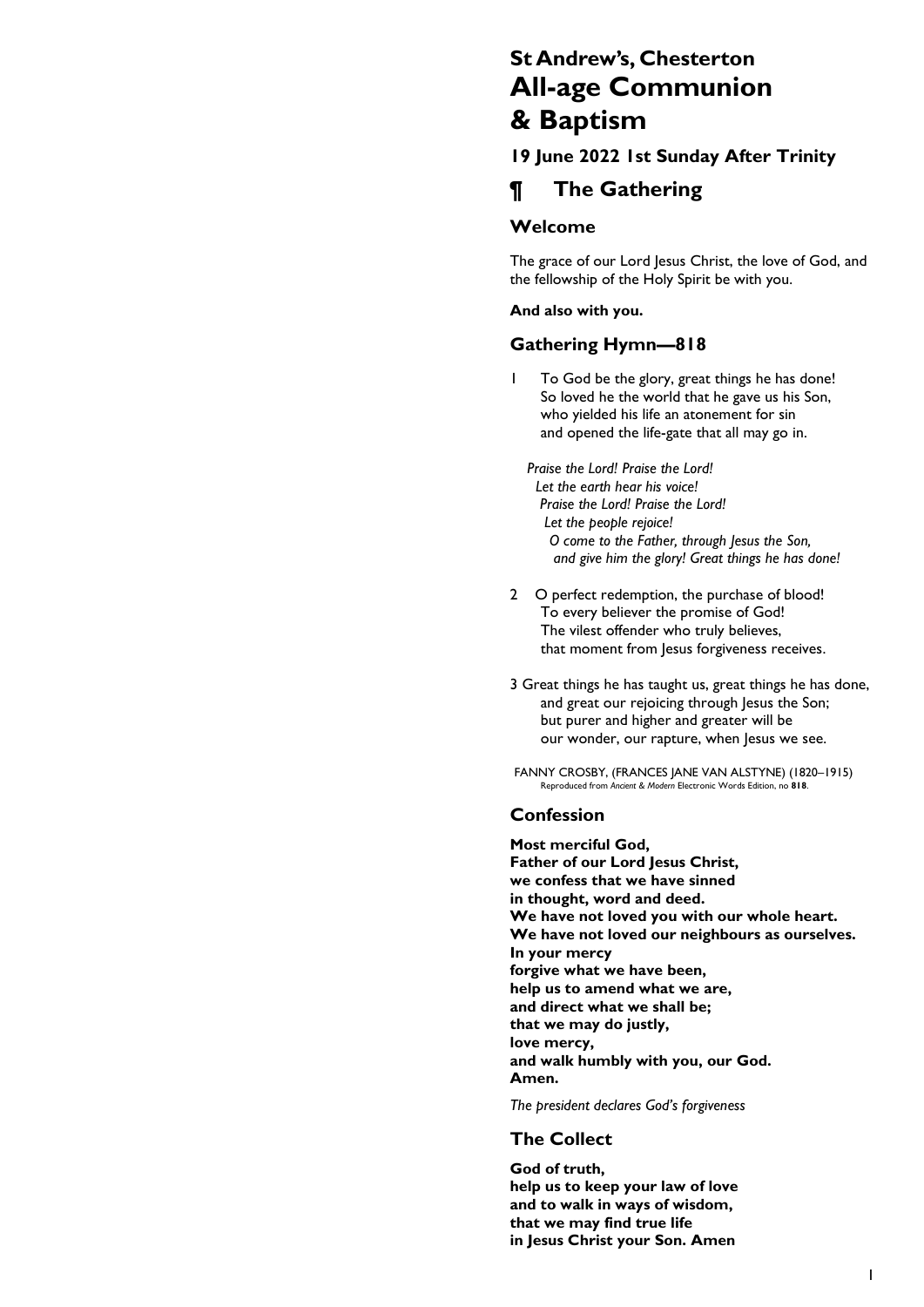# St Andrew's, Chesterton All-age Communion & Baptism

# 19 June 2022 1st Sunday After Trinity

# ¶ The Gathering

## Welcome

The grace of our Lord Jesus Christ, the love of God, and the fellowship of the Holy Spirit be with you.

#### And also with you.

## Gathering Hymn—818

1 To God be the glory, great things he has done! So loved he the world that he gave us his Son, who yielded his life an atonement for sin and opened the life-gate that all may go in.

 Praise the Lord! Praise the Lord! Let the earth hear his voice! Praise the Lord! Praise the Lord! Let the people rejoice! O come to the Father, through Jesus the Son, and give him the glory! Great things he has done!

- 2 O perfect redemption, the purchase of blood! To every believer the promise of God! The vilest offender who truly believes, that moment from Jesus forgiveness receives.
- 3 Great things he has taught us, great things he has done, and great our rejoicing through Jesus the Son; but purer and higher and greater will be our wonder, our rapture, when Jesus we see.
- FANNY CROSBY, (FRANCES JANE VAN ALSTYNE) (1820–1915) Reproduced from Ancient & Modern Electronic Words Edition, no 818.

### Confession

Most merciful God, Father of our Lord Jesus Christ, we confess that we have sinned in thought, word and deed. We have not loved you with our whole heart. We have not loved our neighbours as ourselves. In your mercy forgive what we have been, help us to amend what we are, and direct what we shall be; that we may do justly, love mercy, and walk humbly with you, our God. Amen.

The president declares God's forgiveness

### The Collect

God of truth, help us to keep your law of love and to walk in ways of wisdom, that we may find true life in Jesus Christ your Son. Amen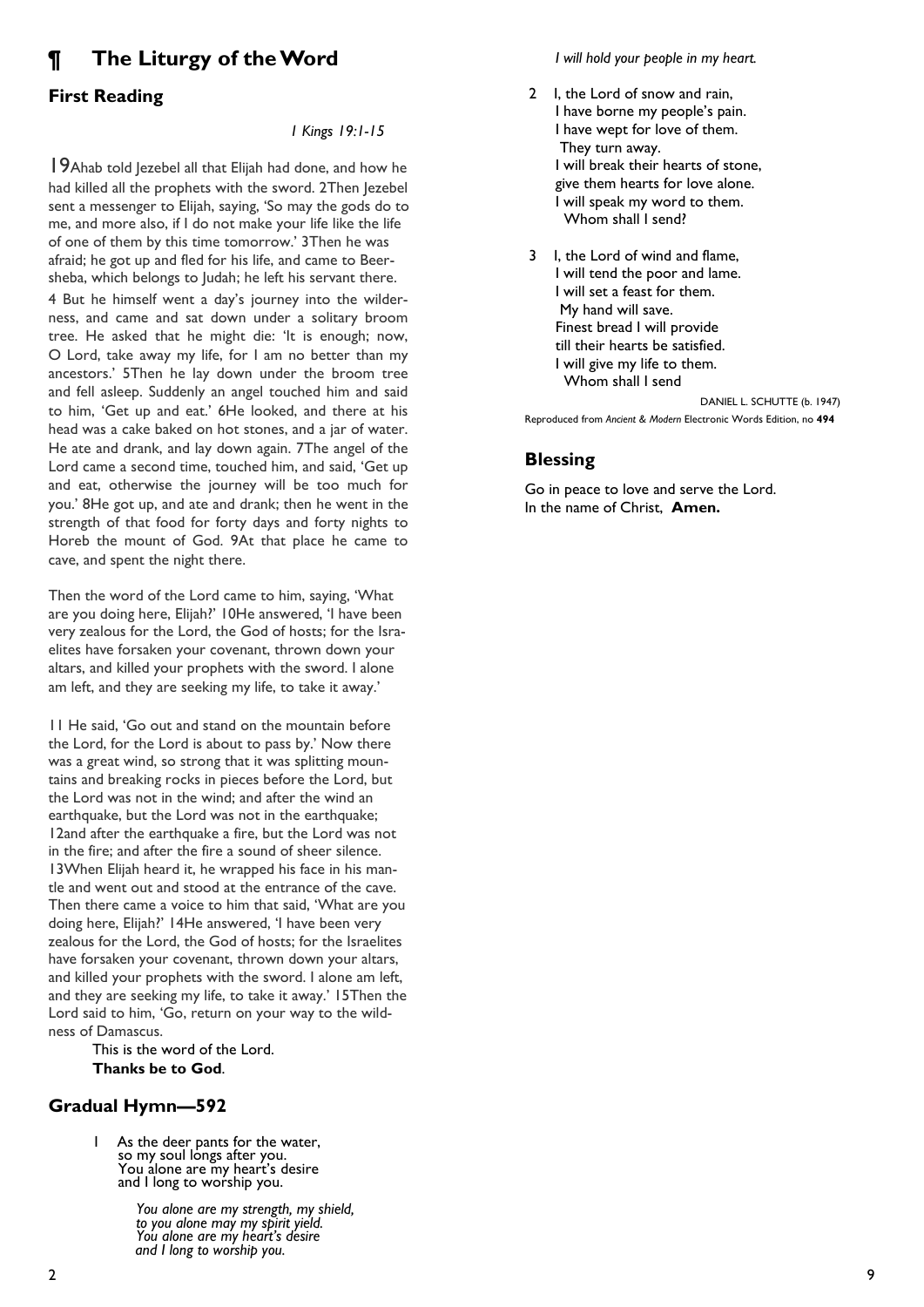# The Liturgy of the Word

## First Reading

1 Kings 19:1-15

19Ahab told Jezebel all that Elijah had done, and how he had killed all the prophets with the sword. 2Then Jezebel sent a messenger to Elijah, saying, 'So may the gods do to me, and more also, if I do not make your life like the life of one of them by this time tomorrow.' 3Then he was afraid; he got up and fled for his life, and came to Beersheba, which belongs to Judah; he left his servant there.

4 But he himself went a day's journey into the wilderness, and came and sat down under a solitary broom tree. He asked that he might die: 'It is enough; now, O Lord, take away my life, for I am no better than my ancestors.' 5Then he lay down under the broom tree and fell asleep. Suddenly an angel touched him and said to him, 'Get up and eat.' 6He looked, and there at his head was a cake baked on hot stones, and a jar of water. He ate and drank, and lay down again. 7The angel of the Lord came a second time, touched him, and said, 'Get up and eat, otherwise the journey will be too much for you.' 8He got up, and ate and drank; then he went in the strength of that food for forty days and forty nights to Horeb the mount of God. 9At that place he came to cave, and spent the night there.

Then the word of the Lord came to him, saying, 'What are you doing here, Elijah?' 10He answered, 'I have been very zealous for the Lord, the God of hosts; for the Israelites have forsaken your covenant, thrown down your altars, and killed your prophets with the sword. I alone am left, and they are seeking my life, to take it away.'

11 He said, 'Go out and stand on the mountain before the Lord, for the Lord is about to pass by.' Now there was a great wind, so strong that it was splitting mountains and breaking rocks in pieces before the Lord, but the Lord was not in the wind; and after the wind an earthquake, but the Lord was not in the earthquake; 12and after the earthquake a fire, but the Lord was not in the fire; and after the fire a sound of sheer silence. 13When Elijah heard it, he wrapped his face in his mantle and went out and stood at the entrance of the cave. Then there came a voice to him that said, 'What are you doing here, Elijah?' 14He answered, 'I have been very zealous for the Lord, the God of hosts; for the Israelites have forsaken your covenant, thrown down your altars, and killed your prophets with the sword. I alone am left, and they are seeking my life, to take it away.' 15Then the Lord said to him, 'Go, return on your way to the wildness of Damascus.

> This is the word of the Lord. Thanks be to God.

# Gradual Hymn—592

1 As the deer pants for the water, so my soul longs after you. You alone are my heart's desire and I long to worship you.

You alone are my strength, my shield, to you alone may my spirit yield. You alone are my heart's desire and I long to worship you.

I will hold your people in my heart.

- 2 I, the Lord of snow and rain, I have borne my people's pain. I have wept for love of them. They turn away. I will break their hearts of stone, give them hearts for love alone. I will speak my word to them. Whom shall I send?
- 3 I, the Lord of wind and flame, I will tend the poor and lame. I will set a feast for them. My hand will save. Finest bread I will provide till their hearts be satisfied. I will give my life to them. Whom shall I send

DANIEL L. SCHUTTE (b. 1947)

Reproduced from Ancient & Modern Electronic Words Edition, no 494

## **Blessing**

Go in peace to love and serve the Lord. In the name of Christ, Amen.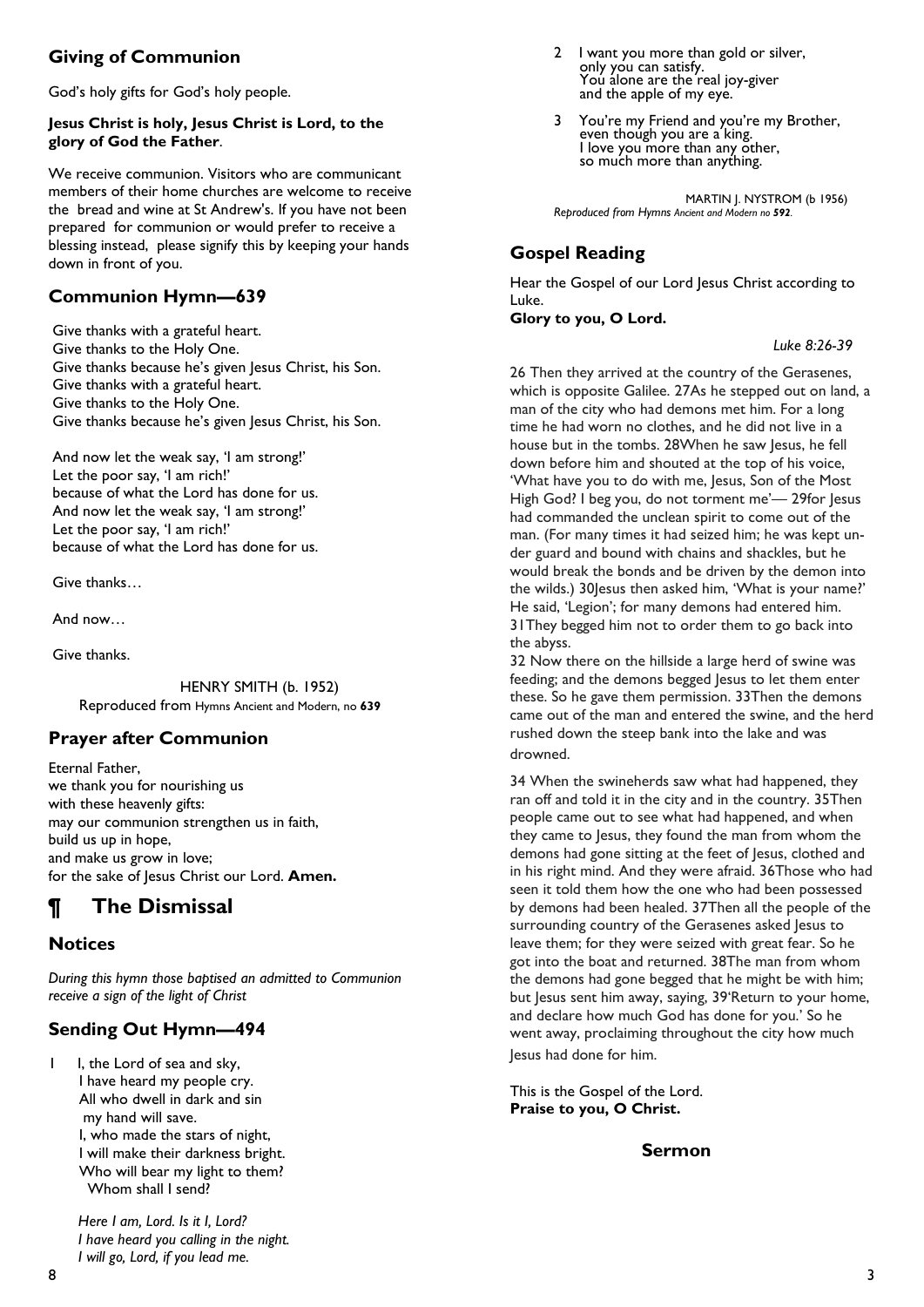# Giving of Communion

God's holy gifts for God's holy people.

### Jesus Christ is holy, Jesus Christ is Lord, to the glory of God the Father.

We receive communion. Visitors who are communicant members of their home churches are welcome to receive the bread and wine at St Andrew's. If you have not been prepared for communion or would prefer to receive a blessing instead, please signify this by keeping your hands down in front of you.

# Communion Hymn—639

Give thanks with a grateful heart. Give thanks to the Holy One. Give thanks because he's given Jesus Christ, his Son. Give thanks with a grateful heart. Give thanks to the Holy One. Give thanks because he's given Jesus Christ, his Son.

And now let the weak say, 'I am strong!' Let the poor say, 'I am rich!' because of what the Lord has done for us. And now let the weak say, 'I am strong!' Let the poor say, 'I am rich!' because of what the Lord has done for us.

Give thanks…

And now…

Give thanks.

HENRY SMITH (b. 1952) Reproduced from Hymns Ancient and Modern, no 639

# Prayer after Communion

Eternal Father, we thank you for nourishing us with these heavenly gifts: may our communion strengthen us in faith, build us up in hope, and make us grow in love; for the sake of Jesus Christ our Lord. Amen.

# ¶ The Dismissal

# **Notices**

During this hymn those baptised an admitted to Communion receive a sign of the light of Christ

# Sending Out Hymn—494

1 I, the Lord of sea and sky, I have heard my people cry. All who dwell in dark and sin my hand will save. I, who made the stars of night, I will make their darkness bright. Who will bear my light to them? Whom shall I send?

> Here I am, Lord. Is it I, Lord? I have heard you calling in the night. I will go, Lord, if you lead me.

- 2 I want you more than gold or silver, only you can satisfy. You alone are the real joy-giver and the apple of my eye.
- 3 You're my Friend and you're my Brother, even though you are a king. I love you more than any other, so much more than anything.

MARTIN J. NYSTROM (b 1956) Reproduced from Hymns Ancient and Modern no 592.

# Gospel Reading

Hear the Gospel of our Lord Jesus Christ according to Luke.

Glory to you, O Lord.

#### Luke 8:26-39

26 Then they arrived at the country of the Gerasenes, which is opposite Galilee. 27As he stepped out on land, a man of the city who had demons met him. For a long time he had worn no clothes, and he did not live in a house but in the tombs. 28When he saw Jesus, he fell down before him and shouted at the top of his voice, 'What have you to do with me, Jesus, Son of the Most High God? I beg you, do not torment me'— 29for Jesus had commanded the unclean spirit to come out of the man. (For many times it had seized him; he was kept under guard and bound with chains and shackles, but he would break the bonds and be driven by the demon into the wilds.) 30Jesus then asked him, 'What is your name?' He said, 'Legion'; for many demons had entered him. 31They begged him not to order them to go back into the abyss.

32 Now there on the hillside a large herd of swine was feeding; and the demons begged Jesus to let them enter these. So he gave them permission. 33Then the demons came out of the man and entered the swine, and the herd rushed down the steep bank into the lake and was drowned.

34 When the swineherds saw what had happened, they ran off and told it in the city and in the country. 35Then people came out to see what had happened, and when they came to Jesus, they found the man from whom the demons had gone sitting at the feet of Jesus, clothed and in his right mind. And they were afraid. 36Those who had seen it told them how the one who had been possessed by demons had been healed. 37Then all the people of the surrounding country of the Gerasenes asked Jesus to leave them; for they were seized with great fear. So he got into the boat and returned. 38The man from whom the demons had gone begged that he might be with him; but Jesus sent him away, saying, 39'Return to your home, and declare how much God has done for you.' So he went away, proclaiming throughout the city how much Jesus had done for him.

This is the Gospel of the Lord. Praise to you, O Christ.

### Sermon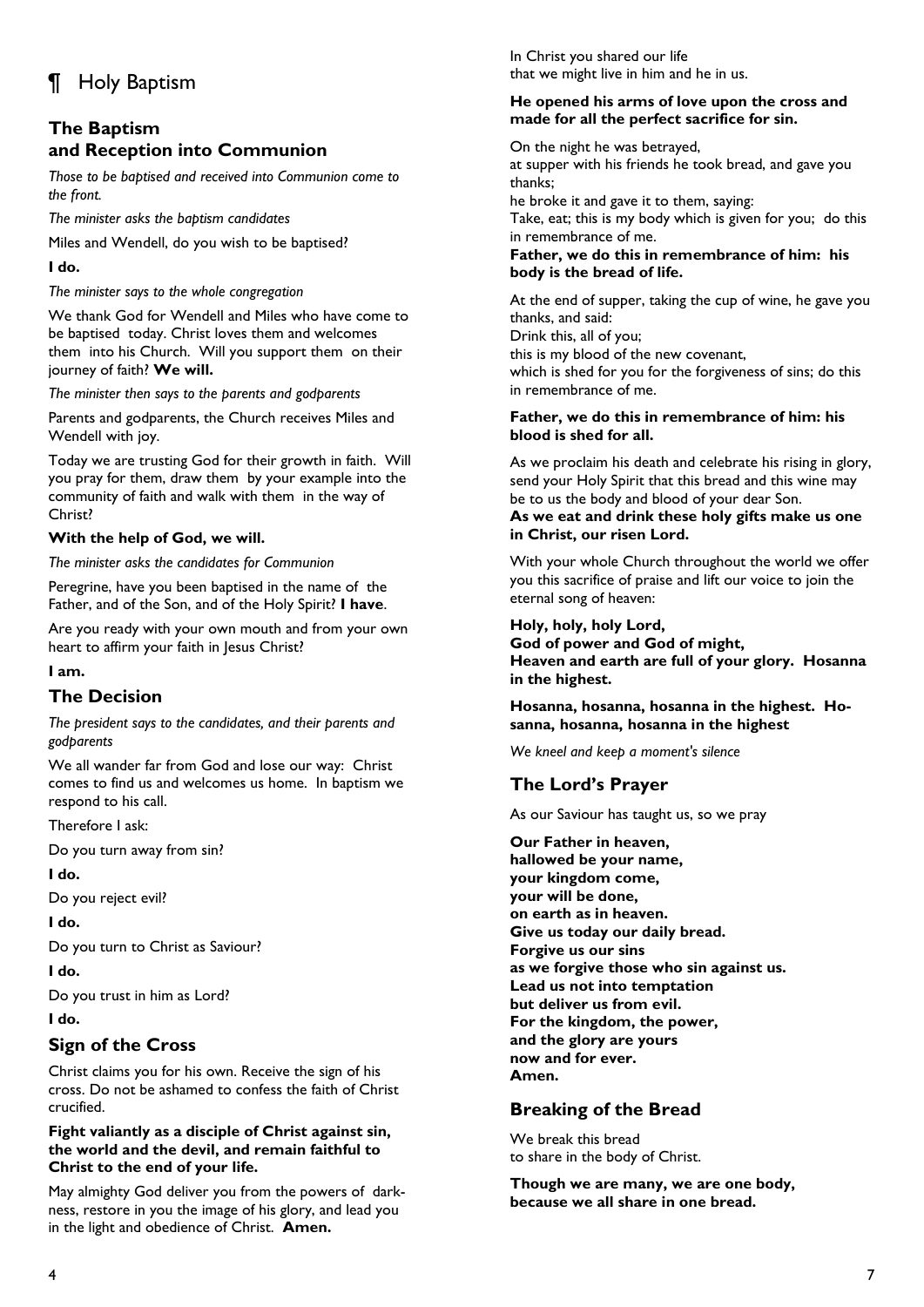# ¶ Holy Baptism

# The Baptism and Reception into Communion

Those to be baptised and received into Communion come to the front.

The minister asks the baptism candidates

Miles and Wendell, do you wish to be baptised?

#### I do.

The minister says to the whole congregation

We thank God for Wendell and Miles who have come to be baptised today. Christ loves them and welcomes them into his Church. Will you support them on their journey of faith? We will.

The minister then says to the parents and godparents

Parents and godparents, the Church receives Miles and Wendell with joy.

Today we are trusting God for their growth in faith. Will you pray for them, draw them by your example into the community of faith and walk with them in the way of Christ?

#### With the help of God, we will.

The minister asks the candidates for Communion

Peregrine, have you been baptised in the name of the Father, and of the Son, and of the Holy Spirit? I have.

Are you ready with your own mouth and from your own heart to affirm your faith in Jesus Christ?

#### I am.

### The Decision

The president says to the candidates, and their parents and godparents

We all wander far from God and lose our way: Christ comes to find us and welcomes us home. In baptism we respond to his call.

Therefore I ask:

Do you turn away from sin?

I do.

Do you reject evil?

#### I do.

Do you turn to Christ as Saviour?

I do.

Do you trust in him as Lord?

I do.

### Sign of the Cross

Christ claims you for his own. Receive the sign of his cross. Do not be ashamed to confess the faith of Christ crucified.

#### Fight valiantly as a disciple of Christ against sin, the world and the devil, and remain faithful to Christ to the end of your life.

May almighty God deliver you from the powers of darkness, restore in you the image of his glory, and lead you in the light and obedience of Christ. Amen.

In Christ you shared our life that we might live in him and he in us.

#### He opened his arms of love upon the cross and made for all the perfect sacrifice for sin.

On the night he was betrayed, at supper with his friends he took bread, and gave you thanks; he broke it and gave it to them, saying:

Take, eat; this is my body which is given for you; do this in remembrance of me.

#### Father, we do this in remembrance of him: his body is the bread of life.

At the end of supper, taking the cup of wine, he gave you thanks, and said: Drink this, all of you; this is my blood of the new covenant, which is shed for you for the forgiveness of sins; do this in remembrance of me.

#### Father, we do this in remembrance of him: his blood is shed for all.

As we proclaim his death and celebrate his rising in glory, send your Holy Spirit that this bread and this wine may be to us the body and blood of your dear Son. As we eat and drink these holy gifts make us one in Christ, our risen Lord.

With your whole Church throughout the world we offer you this sacrifice of praise and lift our voice to join the eternal song of heaven:

Holy, holy, holy Lord, God of power and God of might, Heaven and earth are full of your glory. Hosanna in the highest.

Hosanna, hosanna, hosanna in the highest. Hosanna, hosanna, hosanna in the highest

We kneel and keep a moment's silence

# The Lord's Prayer

As our Saviour has taught us, so we pray

Our Father in heaven, hallowed be your name, your kingdom come, your will be done, on earth as in heaven. Give us today our daily bread. Forgive us our sins as we forgive those who sin against us. Lead us not into temptation but deliver us from evil. For the kingdom, the power, and the glory are yours now and for ever. Amen.

### Breaking of the Bread

We break this bread to share in the body of Christ.

Though we are many, we are one body, because we all share in one bread.